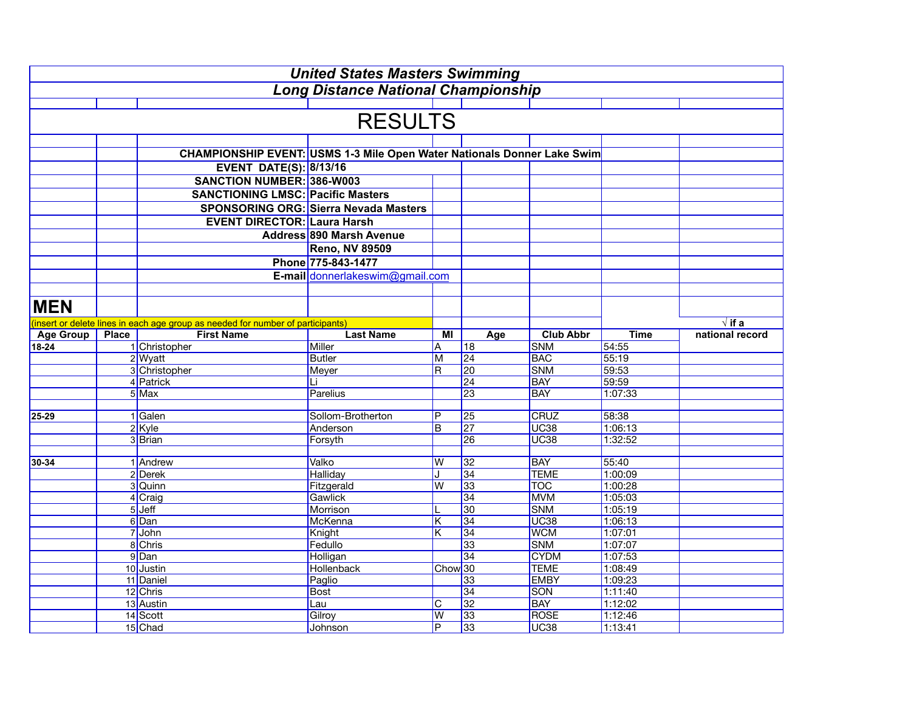| <b>United States Masters Swimming</b>      |              |                                                                                 |                                              |                         |                 |                          |                    |                 |  |  |  |
|--------------------------------------------|--------------|---------------------------------------------------------------------------------|----------------------------------------------|-------------------------|-----------------|--------------------------|--------------------|-----------------|--|--|--|
| <b>Long Distance National Championship</b> |              |                                                                                 |                                              |                         |                 |                          |                    |                 |  |  |  |
|                                            |              |                                                                                 |                                              |                         |                 |                          |                    |                 |  |  |  |
| <b>RESULTS</b>                             |              |                                                                                 |                                              |                         |                 |                          |                    |                 |  |  |  |
|                                            |              |                                                                                 |                                              |                         |                 |                          |                    |                 |  |  |  |
|                                            |              | CHAMPIONSHIP EVENT: USMS 1-3 Mile Open Water Nationals Donner Lake Swim         |                                              |                         |                 |                          |                    |                 |  |  |  |
|                                            |              | <b>EVENT DATE(S): 8/13/16</b>                                                   |                                              |                         |                 |                          |                    |                 |  |  |  |
|                                            |              | <b>SANCTION NUMBER: 386-W003</b>                                                |                                              |                         |                 |                          |                    |                 |  |  |  |
|                                            |              | <b>SANCTIONING LMSC: Pacific Masters</b>                                        |                                              |                         |                 |                          |                    |                 |  |  |  |
|                                            |              |                                                                                 | <b>SPONSORING ORG: Sierra Nevada Masters</b> |                         |                 |                          |                    |                 |  |  |  |
|                                            |              | <b>EVENT DIRECTOR: Laura Harsh</b>                                              |                                              |                         |                 |                          |                    |                 |  |  |  |
|                                            |              |                                                                                 | Address 890 Marsh Avenue                     |                         |                 |                          |                    |                 |  |  |  |
|                                            |              |                                                                                 | <b>Reno, NV 89509</b>                        |                         |                 |                          |                    |                 |  |  |  |
|                                            |              |                                                                                 | Phone 775-843-1477                           |                         |                 |                          |                    |                 |  |  |  |
|                                            |              |                                                                                 | E-mail donnerlakeswim@gmail.com              |                         |                 |                          |                    |                 |  |  |  |
|                                            |              |                                                                                 |                                              |                         |                 |                          |                    |                 |  |  |  |
|                                            |              |                                                                                 |                                              |                         |                 |                          |                    |                 |  |  |  |
| <b>MEN</b>                                 |              |                                                                                 |                                              |                         |                 |                          |                    |                 |  |  |  |
|                                            |              | (insert or delete lines in each age group as needed for number of participants) |                                              |                         |                 |                          |                    | $\sqrt{if a}$   |  |  |  |
| <b>Age Group</b>                           | <b>Place</b> | <b>First Name</b>                                                               | <b>Last Name</b>                             | МI                      | Age             | <b>Club Abbr</b>         | <b>Time</b>        | national record |  |  |  |
| $18 - 24$                                  |              | 1 Christopher                                                                   | Miller                                       | A                       | 18              | <b>SNM</b>               | 54:55              |                 |  |  |  |
|                                            |              | 2 Wyatt                                                                         | <b>Butler</b>                                | M                       | 24              | <b>BAC</b>               | 55:19              |                 |  |  |  |
|                                            |              | 3 Christopher                                                                   | Meyer                                        | $\overline{\mathsf{R}}$ | 20              | <b>SNM</b>               | 59:53              |                 |  |  |  |
|                                            |              | 4 Patrick                                                                       | Li                                           |                         | 24              | <b>BAY</b>               | 59:59              |                 |  |  |  |
|                                            |              | 5 Max                                                                           | Parelius                                     |                         | 23              | <b>BAY</b>               | 1:07:33            |                 |  |  |  |
| 25-29                                      |              | 1 Galen                                                                         | Sollom-Brotherton                            | P                       | 25              | <b>CRUZ</b>              | 58:38              |                 |  |  |  |
|                                            |              | $2$ Kyle                                                                        | Anderson                                     | B                       | $\overline{27}$ | <b>UC38</b>              | 1:06:13            |                 |  |  |  |
|                                            |              | 3Brian                                                                          | Forsyth                                      |                         | 26              | <b>UC38</b>              | 1:32:52            |                 |  |  |  |
|                                            |              |                                                                                 |                                              |                         |                 |                          |                    |                 |  |  |  |
| 30-34                                      |              | 1 Andrew                                                                        | Valko                                        | W                       | 32              | <b>BAY</b>               | 55:40              |                 |  |  |  |
|                                            |              | 2 Derek                                                                         | <b>Halliday</b>                              | J                       | 34              | <b>TEME</b>              | 1:00:09            |                 |  |  |  |
|                                            |              | 3 Quinn                                                                         | Fitzgerald                                   | W                       | $\overline{33}$ | <b>TOC</b>               | 1:00:28            |                 |  |  |  |
|                                            |              | 4 Craig                                                                         | Gawlick                                      |                         | 34              | <b>MVM</b>               | 1:05:03            |                 |  |  |  |
|                                            |              | $5$ Jeff                                                                        | Morrison                                     |                         | 30              | <b>SNM</b>               | 1:05:19            |                 |  |  |  |
|                                            |              | 6Dan                                                                            | McKenna                                      | $\overline{\mathsf{K}}$ | $\overline{34}$ | <b>UC38</b>              | 1:06:13            |                 |  |  |  |
|                                            |              | 7 John                                                                          | Knight                                       | K                       | 34<br>33        | <b>WCM</b><br><b>SNM</b> | 1:07:01            |                 |  |  |  |
|                                            |              | 8 Chris<br>9Dan                                                                 | Fedullo<br>Holligan                          |                         | 34              | <b>CYDM</b>              | 1:07:07<br>1:07:53 |                 |  |  |  |
|                                            |              | 10 Justin                                                                       | Hollenback                                   | Chow <sub>30</sub>      |                 | <b>TEME</b>              | 1:08:49            |                 |  |  |  |
|                                            |              | 11 Daniel                                                                       | Paglio                                       |                         | 33              | <b>EMBY</b>              | 1:09:23            |                 |  |  |  |
|                                            |              | 12 Chris                                                                        | <b>Bost</b>                                  |                         | $\overline{34}$ | <b>SON</b>               | 1:11:40            |                 |  |  |  |
|                                            |              | 13 Austin                                                                       | Lau                                          | IС                      | $\overline{32}$ | <b>BAY</b>               | 1:12:02            |                 |  |  |  |
|                                            |              | 14 Scott                                                                        | Gilroy                                       | W                       | 33              | <b>ROSE</b>              | 1:12:46            |                 |  |  |  |
|                                            |              | 15 Chad                                                                         | Johnson                                      | P                       | 33              | <b>UC38</b>              | 1:13:41            |                 |  |  |  |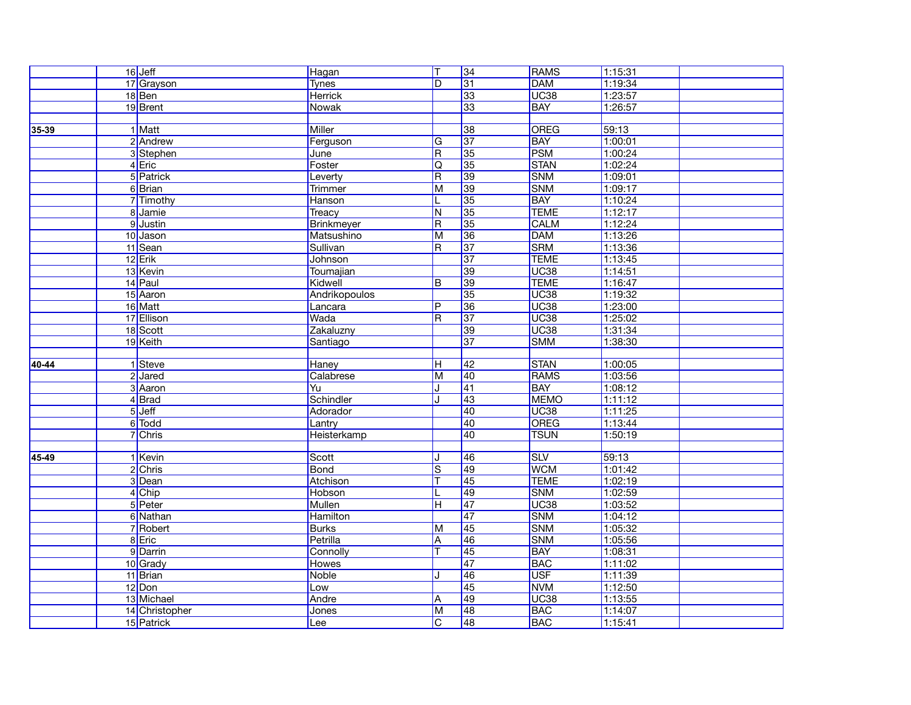|       | $16$ Jeff      | Hagan           | T                       | 34              | <b>RAMS</b> | 1:15:31 |  |
|-------|----------------|-----------------|-------------------------|-----------------|-------------|---------|--|
|       | 17 Grayson     | <b>Tynes</b>    | D                       | 31              | <b>DAM</b>  | 1:19:34 |  |
|       | 18 Ben         | Herrick         |                         | 33              | <b>UC38</b> | 1:23:57 |  |
|       | 19 Brent       | Nowak           |                         | 33              | <b>BAY</b>  | 1:26:57 |  |
|       |                |                 |                         |                 |             |         |  |
| 35-39 | 1 Matt         | <b>Miller</b>   |                         | 38              | <b>OREG</b> | 59:13   |  |
|       | 2 Andrew       | Ferguson        | G                       | $\overline{37}$ | <b>BAY</b>  | 1:00:01 |  |
|       | 3 Stephen      | June            | $\overline{\mathsf{R}}$ | 35              | PSM         | 1:00:24 |  |
|       | $4$ Eric       | Foster          | Q                       | 35              | <b>STAN</b> | 1:02:24 |  |
|       | 5 Patrick      | Leverty         | $\overline{\mathsf{R}}$ | 39              | <b>SNM</b>  | 1:09:01 |  |
|       | 6Brian         | Trimmer         | M                       | 39              | <b>SNM</b>  | 1:09:17 |  |
|       | 7 Timothy      | Hanson          | L                       | 35              | <b>BAY</b>  | 1:10:24 |  |
|       | 8 Jamie        | Treacy          | N                       | 35              | <b>TEME</b> | 1:12:17 |  |
|       | 9 Justin       | Brinkmeyer      | $\overline{\mathsf{R}}$ | 35              | <b>CALM</b> | 1:12:24 |  |
|       | 10 Jason       | Matsushino      | M                       | 36              | <b>DAM</b>  | 1:13:26 |  |
|       | 11 Sean        | Sullivan        | R                       | 37              | <b>SRM</b>  | 1:13:36 |  |
|       | 12 Erik        | Johnson         |                         | 37              | <b>TEME</b> | 1:13:45 |  |
|       | 13 Kevin       | Toumajian       |                         | 39              | <b>UC38</b> | 1:14:51 |  |
|       | 14 Paul        | Kidwell         | B                       | 39              | <b>TEME</b> | 1:16:47 |  |
|       | 15 Aaron       | Andrikopoulos   |                         | 35              | <b>UC38</b> | 1:19:32 |  |
|       | 16 Matt        | Lancara         | İΡ                      | 36              | <b>UC38</b> | 1:23:00 |  |
|       | 17 Ellison     | Wada            | $\overline{\mathsf{R}}$ | 37              | <b>UC38</b> | 1:25:02 |  |
|       | 18 Scott       | Zakaluzny       |                         | 39              | <b>UC38</b> | 1:31:34 |  |
|       | 19 Keith       | Santiago        |                         | 37              | <b>SMM</b>  | 1:38:30 |  |
|       |                |                 |                         |                 |             |         |  |
| 40-44 | 1 Steve        | Haney           | π                       | 42              | <b>STAN</b> | 1:00:05 |  |
|       | 2 Jared        | Calabrese       | M                       | 40              | <b>RAMS</b> | 1:03:56 |  |
|       | 3 Aaron        | Yu              | J                       | 41              | <b>BAY</b>  | 1:08:12 |  |
|       | 4Brad          | Schindler       | J                       | $\overline{43}$ | <b>MEMO</b> | 1:11:12 |  |
|       | $5$ Jeff       | Adorador        |                         | 40              | <b>UC38</b> | 1:11:25 |  |
|       | 6 Todd         | Lantry          |                         | 40              | <b>OREG</b> | 1:13:44 |  |
|       | 7 Chris        | Heisterkamp     |                         | 40              | <b>TSUN</b> | 1:50:19 |  |
|       |                |                 |                         |                 |             |         |  |
| 45-49 | 1 Kevin        | Scott           | J                       | 46              | <b>SLV</b>  | 59:13   |  |
|       | 2 Chris        | <b>Bond</b>     | $\overline{\mathsf{s}}$ | 49              | <b>WCM</b>  | 1:01:42 |  |
|       | 3 Dean         | Atchison        | $\overline{\mathsf{T}}$ | 45              | <b>TEME</b> | 1:02:19 |  |
|       | 4 Chip         | Hobson          | L                       | 49              | <b>SNM</b>  | 1:02:59 |  |
|       | 5 Peter        | <b>Mullen</b>   | ĪН                      | $\overline{47}$ | <b>UC38</b> | 1:03:52 |  |
|       | 6 Nathan       | <b>Hamilton</b> |                         | $\overline{47}$ | <b>SNM</b>  | 1:04:12 |  |
|       | 7 Robert       | <b>Burks</b>    | M                       | 45              | <b>SNM</b>  | 1:05:32 |  |
|       | 8 Eric         | Petrilla        | $\overline{A}$          | 46              | <b>SNM</b>  | 1:05:56 |  |
|       | 9 Darrin       | Connolly        |                         | $\overline{45}$ | <b>BAY</b>  | 1:08:31 |  |
|       | 10 Grady       | <b>Howes</b>    |                         | $\overline{47}$ | <b>BAC</b>  | 1:11:02 |  |
|       | 11 Brian       | <b>Noble</b>    | J                       | 46              | <b>USF</b>  | 1:11:39 |  |
|       | $12$ Don       | Low             |                         | $\overline{45}$ | <b>NVM</b>  | 1:12:50 |  |
|       | 13 Michael     | Andre           | ΙA                      | 49              | <b>UC38</b> | 1:13:55 |  |
|       | 14 Christopher | Jones           | M                       | 48              | <b>BAC</b>  | 1:14:07 |  |
|       | 15 Patrick     | Lee             | $\overline{C}$          | 48              | <b>BAC</b>  | 1:15:41 |  |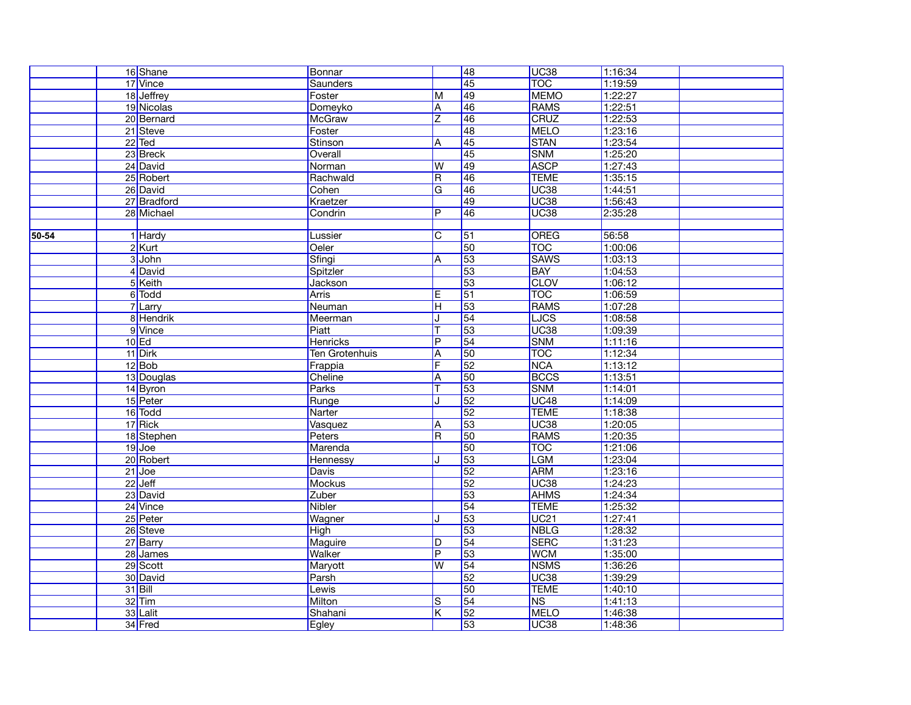|       | 16 Shane    | Bonnar          |                         | $\overline{48}$ | UC <sub>38</sub> | 1:16:34 |
|-------|-------------|-----------------|-------------------------|-----------------|------------------|---------|
|       | 17 Vince    | <b>Saunders</b> |                         | 45              | <b>TOC</b>       | 1:19:59 |
|       | 18 Jeffrey  | Foster          | M                       | 49              | <b>MEMO</b>      | 1:22:27 |
|       | 19 Nicolas  | Domeyko         | A                       | 46              | RAMS             | 1:22:51 |
|       | 20 Bernard  | <b>McGraw</b>   | Ζ                       | 46              | CRUZ             | 1:22:53 |
|       | 21 Steve    | Foster          |                         | 48              | <b>MELO</b>      | 1:23:16 |
|       | $22$ Ted    | Stinson         | A                       | $\overline{45}$ | <b>STAN</b>      | 1:23:54 |
|       | 23 Breck    | Overall         |                         | 45              | <b>SNM</b>       | 1:25:20 |
|       | 24 David    | Norman          | W                       | 49              | <b>ASCP</b>      | 1:27:43 |
|       | 25 Robert   | Rachwald        | $\overline{\mathsf{R}}$ | 46              | <b>TEME</b>      | 1:35:15 |
|       | 26 David    | Cohen           | G                       | 46              | UC <sub>38</sub> | 1.44:51 |
|       | 27 Bradford | Kraetzer        |                         | 49              | <b>UC38</b>      | 1:56:43 |
|       | 28 Michael  | Condrin         | $\overline{P}$          | 46              | <b>UC38</b>      | 2:35:28 |
|       |             |                 |                         |                 |                  |         |
| 50-54 | 1 Hardy     | Lussier         | $\mathsf{C}$            | $\overline{51}$ | <b>OREG</b>      | 56:58   |
|       | $2$ Kurt    | Oeler           |                         | 50              | <b>TOC</b>       | 1:00:06 |
|       | 3 John      | Sfingi          | A                       | 53              | <b>SAWS</b>      | 1:03:13 |
|       | 4 David     | Spitzler        |                         | 53              | <b>BAY</b>       | 1:04:53 |
|       | 5 Keith     | <b>Jackson</b>  |                         | 53              | <b>CLOV</b>      | 1:06:12 |
|       | 6 Todd      | <b>Arris</b>    | $\overline{\mathsf{E}}$ | $\overline{51}$ | <b>TOC</b>       | 1:06:59 |
|       | 7 Larry     | Neuman          | lн                      | 53              | <b>RAMS</b>      | 1:07:28 |
|       | 8 Hendrik   | Meerman         |                         | $\overline{54}$ | <b>LJCS</b>      | 1:08:58 |
|       | 9 Vince     | Piatt           | Т                       | 53              | <b>UC38</b>      | 1:09:39 |
|       | $10$ Ed     | <b>Henricks</b> | $\overline{P}$          | 54              | <b>SNM</b>       | 1:11:16 |
|       | 11 Dirk     | Ten Grotenhuis  | $\overline{A}$          | 50              | <b>TOC</b>       | 1:12:34 |
|       | $12$ Bob    | Frappia         | F                       | $\overline{52}$ | <b>NCA</b>       | 1:13:12 |
|       | 13 Douglas  | Cheline         | A                       | 50              | <b>BCCS</b>      | 1:13:51 |
|       | 14 Byron    | Parks           | T                       | 53              | <b>SNM</b>       | 1:14:01 |
|       | 15 Peter    | Runge           |                         | $\overline{52}$ | <b>UC48</b>      | 1:14:09 |
|       | 16 Todd     | Narter          |                         | 52              | <b>TEME</b>      | 1:18:38 |
|       | 17 Rick     | Vasquez         | A                       | 53              | <b>UC38</b>      | 1:20:05 |
|       | 18 Stephen  | Peters          | $\overline{R}$          | 50              | RAMS             | 1:20:35 |
|       | $19$ Joe    | Marenda         |                         | 50              | <b>TOC</b>       | 1:21:06 |
|       | 20 Robert   | Hennessy        | J                       | 53              | <b>LGM</b>       | 1:23:04 |
|       | $21$ Joe    | <b>Davis</b>    |                         | 52              | <b>ARM</b>       | 1:23:16 |
|       | $22$ Jeff   | <b>Mockus</b>   |                         | $\overline{52}$ | <b>UC38</b>      | 1:24:23 |
|       | 23 David    | Zuber           |                         | 53              | <b>AHMS</b>      | 1:24:34 |
|       | 24 Vince    | <b>Nibler</b>   |                         | $\overline{54}$ | <b>TEME</b>      | 1:25:32 |
|       | 25 Peter    | Wagner          |                         | 53              | UC21             | 1:27:41 |
|       | 26 Steve    | <b>High</b>     |                         | 53              | <b>NBLG</b>      | 1:28:32 |
|       | 27 Barry    | Maguire         | D                       | 54              | <b>SERC</b>      | 1:31:23 |
|       | 28 James    | <b>Walker</b>   | $\overline{P}$          | 53              | <b>WCM</b>       | 1:35:00 |
|       | 29 Scott    | Maryott         | W                       | $\overline{54}$ | <b>NSMS</b>      | 1:36:26 |
|       | 30 David    | Parsh           |                         | 52              | <b>UC38</b>      | 1:39:29 |
|       | $31$ Bill   | Lewis           |                         | 50              | <b>TEME</b>      | 1:40:10 |
|       | $32$ Tim    | Milton          | S                       | 54              | <b>NS</b>        | 1:41:13 |
|       | 33 Lalit    | Shahani         | K                       | $\overline{52}$ | <b>MELO</b>      | 1:46:38 |
|       | 34 Fred     | Egley           |                         | 53              | UC <sub>38</sub> | 1:48:36 |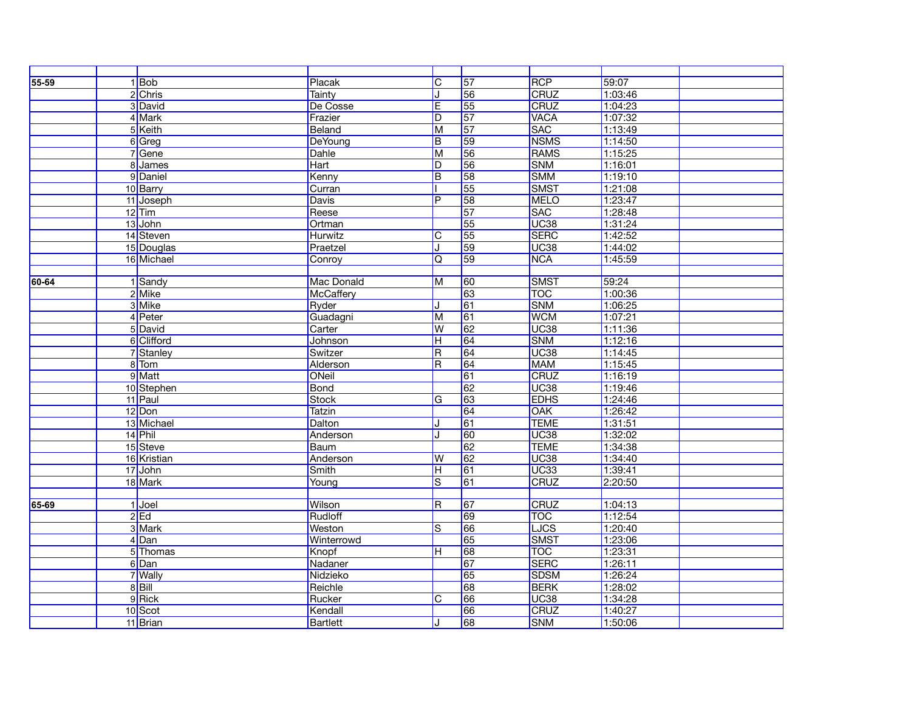| 55-59 | $1$ Bob     | Placak            | $\overline{C}$          | 57              | <b>RCP</b>  | 59:07   |  |
|-------|-------------|-------------------|-------------------------|-----------------|-------------|---------|--|
|       | 2 Chris     | <b>Tainty</b>     | IJ                      | 56              | <b>CRUZ</b> | 1:03:46 |  |
|       | 3 David     | De Cosse          | E                       | 55              | CRUZ        | 1:04:23 |  |
|       | 4 Mark      | Frazier           | D                       | $\overline{57}$ | <b>VACA</b> | 1:07:32 |  |
|       | 5 Keith     | Beland            | M                       | 57              | <b>SAC</b>  | 1:13:49 |  |
|       | 6 Greg      | DeYoung           | $\overline{B}$          | 59              | <b>NSMS</b> | 1:14:50 |  |
|       | 7 Gene      | <b>Dahle</b>      | M                       | 56              | <b>RAMS</b> | 1:15:25 |  |
|       | 8 James     | Hart              | D                       | 56              | <b>SNM</b>  | 1:16:01 |  |
|       | 9 Daniel    | Kenny             | $\overline{B}$          | 58              | <b>SMM</b>  | 1:19:10 |  |
|       | 10 Barry    | Curran            |                         | 55              | SMST        | 1:21:08 |  |
|       | 11 Joseph   | <b>Davis</b>      | $\overline{P}$          | 58              | <b>MELO</b> | 1:23:47 |  |
|       | $12$ Tim    | Reese             |                         | $\overline{57}$ | <b>SAC</b>  | 1:28:48 |  |
|       | 13 John     | Ortman            |                         | 55              | <b>UC38</b> | 1:31:24 |  |
|       | 14 Steven   | <b>Hurwitz</b>    | $\overline{\mathsf{C}}$ | 55              | <b>SERC</b> | 1:42:52 |  |
|       | 15 Douglas  | Praetzel          | J                       | 59              | <b>UC38</b> | 1:44:02 |  |
|       | 16 Michael  | Conroy            | Q                       | 59              | <b>NCA</b>  | 1:45:59 |  |
|       |             |                   |                         |                 |             |         |  |
| 60-64 | 1 Sandy     | <b>Mac Donald</b> | M                       | 60              | <b>SMST</b> | 59:24   |  |
|       | 2 Mike      | McCaffery         |                         | 63              | <b>TOC</b>  | 1:00:36 |  |
|       | 3 Mike      | Ryder             | IJ                      | 61              | <b>SNM</b>  | 1:06:25 |  |
|       | 4 Peter     | Guadagni          | M                       | 61              | <b>WCM</b>  | 1:07:21 |  |
|       | 5 David     | Carter            | W                       | 62              | <b>UC38</b> | 1:11:36 |  |
|       | 6 Clifford  | Johnson           | $\overline{\mathsf{H}}$ | 64              | <b>SNM</b>  | 1:12:16 |  |
|       | 7 Stanley   | Switzer           | R                       | 64              | <b>UC38</b> | 1:14:45 |  |
|       | 8 Tom       | Alderson          | $\overline{\mathsf{R}}$ | 64              | <b>MAM</b>  | 1:15:45 |  |
|       | 9 Matt      | ONeil             |                         | 61              | <b>CRUZ</b> | 1:16:19 |  |
|       | 10 Stephen  | <b>Bond</b>       |                         | 62              | <b>UC38</b> | 1:19:46 |  |
|       | 11 Paul     | <b>Stock</b>      | $\overline{G}$          | 63              | <b>EDHS</b> | 1:24:46 |  |
|       | 12 Don      | <b>Tatzin</b>     |                         | 64              | <b>OAK</b>  | 1:26:42 |  |
|       | 13 Michael  | Dalton            | J                       | 61              | <b>TEME</b> | 1:31:51 |  |
|       | 14 Phil     | Anderson          | J                       | 60              | <b>UC38</b> | 1:32:02 |  |
|       | 15 Steve    | Baum              |                         | 62              | <b>TEME</b> | 1:34:38 |  |
|       | 16 Kristian | Anderson          | lw                      | 62              | <b>UC38</b> | 1:34:40 |  |
|       | 17 John     | <b>Smith</b>      | $\overline{\mathsf{H}}$ | 61              | <b>UC33</b> | 1:39:41 |  |
|       | 18 Mark     | Young             | $\overline{\mathbf{s}}$ | 61              | <b>CRUZ</b> | 2:20:50 |  |
|       |             |                   |                         |                 |             |         |  |
| 65-69 | $1$ Joel    | Wilson            | $\overline{\mathsf{R}}$ | $\overline{67}$ | CRUZ        | 1:04:13 |  |
|       | $2$ Ed      | Rudloff           |                         | 69              | <b>TOC</b>  | 1:12:54 |  |
|       | 3 Mark      | Weston            | ls.                     | 66              | LJCS        | 1:20:40 |  |
|       | $4$ Dan     | Winterrowd        |                         | 65              | SMST        | 1:23:06 |  |
|       | 5 Thomas    | Knopf             | $\overline{\mathsf{H}}$ | 68              | <b>TOC</b>  | 1:23:31 |  |
|       | 6Dan        | Nadaner           |                         | $\overline{67}$ | <b>SERC</b> | 1:26:11 |  |
|       | 7 Wally     | Nidzieko          |                         | 65              | <b>SDSM</b> | 1:26:24 |  |
|       | $8$ $Bill$  | Reichle           |                         | 68              | <b>BERK</b> | 1:28:02 |  |
|       | 9 Rick      | Rucker            | $\overline{C}$          | 66              | <b>UC38</b> | 1:34:28 |  |
|       | 10Scot      | Kendall           |                         | 66              | <b>CRUZ</b> | 1:40:27 |  |
|       | 11 Brian    | <b>Bartlett</b>   | IJ.                     | 68              | <b>SNM</b>  | 1:50:06 |  |